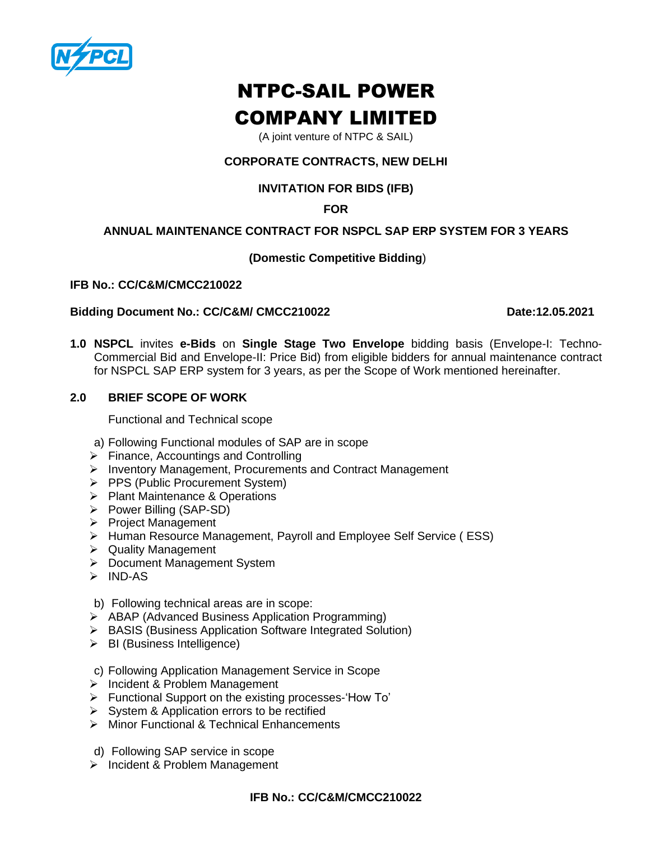

# NTPC-SAIL POWER COMPANY LIMITED

(A joint venture of NTPC & SAIL)

# **CORPORATE CONTRACTS, NEW DELHI**

## **INVITATION FOR BIDS (IFB)**

## **FOR**

# **ANNUAL MAINTENANCE CONTRACT FOR NSPCL SAP ERP SYSTEM FOR 3 YEARS**

## **(Domestic Competitive Bidding**)

## **IFB No.: CC/C&M/CMCC210022**

## **Bidding Document No.: CC/C&M/ CMCC210022 Date:12.05.2021**

**1.0 NSPCL** invites **e-Bids** on **Single Stage Two Envelope** bidding basis (Envelope-I: Techno-Commercial Bid and Envelope-II: Price Bid) from eligible bidders for annual maintenance contract for NSPCL SAP ERP system for 3 years, as per the Scope of Work mentioned hereinafter.

## **2.0 BRIEF SCOPE OF WORK**

Functional and Technical scope

- a) Following Functional modules of SAP are in scope
- ➢ Finance, Accountings and Controlling
- ➢ Inventory Management, Procurements and Contract Management
- ➢ PPS (Public Procurement System)
- ➢ Plant Maintenance & Operations
- ➢ Power Billing (SAP-SD)
- ➢ Project Management
- ➢ Human Resource Management, Payroll and Employee Self Service ( ESS)
- ➢ Quality Management
- ➢ Document Management System
- ➢ IND-AS
- b) Following technical areas are in scope:
- ➢ ABAP (Advanced Business Application Programming)
- ➢ BASIS (Business Application Software Integrated Solution)
- ➢ BI (Business Intelligence)
- c) Following Application Management Service in Scope
- ➢ Incident & Problem Management
- ➢ Functional Support on the existing processes-'How To'
- ➢ System & Application errors to be rectified
- ➢ Minor Functional & Technical Enhancements
- d) Following SAP service in scope
- ➢ Incident & Problem Management

#### **IFB No.: CC/C&M/CMCC210022**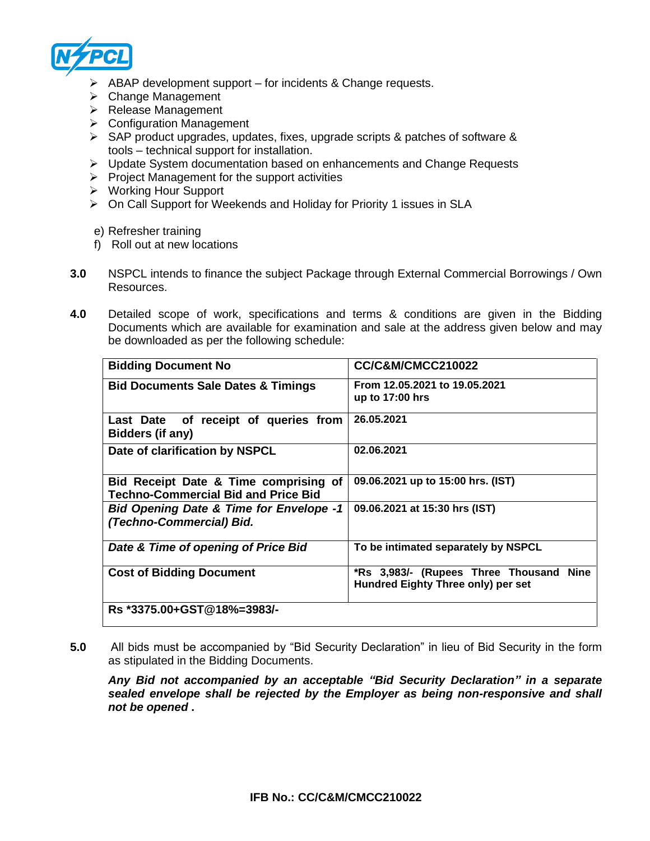

- $\triangleright$  ABAP development support for incidents & Change requests.
- ➢ Change Management
- ➢ Release Management
- ➢ Configuration Management
- ➢ SAP product upgrades, updates, fixes, upgrade scripts & patches of software & tools – technical support for installation.
- ➢ Update System documentation based on enhancements and Change Requests
- $\triangleright$  Project Management for the support activities
- ➢ Working Hour Support
- ➢ On Call Support for Weekends and Holiday for Priority 1 issues in SLA
- e) Refresher training
- f) Roll out at new locations
- **3.0** NSPCL intends to finance the subject Package through External Commercial Borrowings / Own Resources.
- **4.0** Detailed scope of work, specifications and terms & conditions are given in the Bidding Documents which are available for examination and sale at the address given below and may be downloaded as per the following schedule:

| <b>Bidding Document No</b>                                                          | <b>CC/C&amp;M/CMCC210022</b>                                                  |
|-------------------------------------------------------------------------------------|-------------------------------------------------------------------------------|
| <b>Bid Documents Sale Dates &amp; Timings</b>                                       | From 12.05.2021 to 19.05.2021<br>up to 17:00 hrs                              |
| Last Date of receipt of queries from<br>Bidders (if any)                            | 26.05.2021                                                                    |
| Date of clarification by NSPCL                                                      | 02.06.2021                                                                    |
| Bid Receipt Date & Time comprising of<br><b>Techno-Commercial Bid and Price Bid</b> | 09.06.2021 up to 15:00 hrs. (IST)                                             |
| <b>Bid Opening Date &amp; Time for Envelope -1</b><br>(Techno-Commercial) Bid.      | 09.06.2021 at 15:30 hrs (IST)                                                 |
| Date & Time of opening of Price Bid                                                 | To be intimated separately by NSPCL                                           |
| <b>Cost of Bidding Document</b>                                                     | *Rs 3,983/- (Rupees Three Thousand Nine<br>Hundred Eighty Three only) per set |
| Rs *3375.00+GST@18%=3983/-                                                          |                                                                               |

**5.0** All bids must be accompanied by "Bid Security Declaration" in lieu of Bid Security in the form as stipulated in the Bidding Documents.

*Any Bid not accompanied by an acceptable "Bid Security Declaration" in a separate sealed envelope shall be rejected by the Employer as being non-responsive and shall not be opened* **.**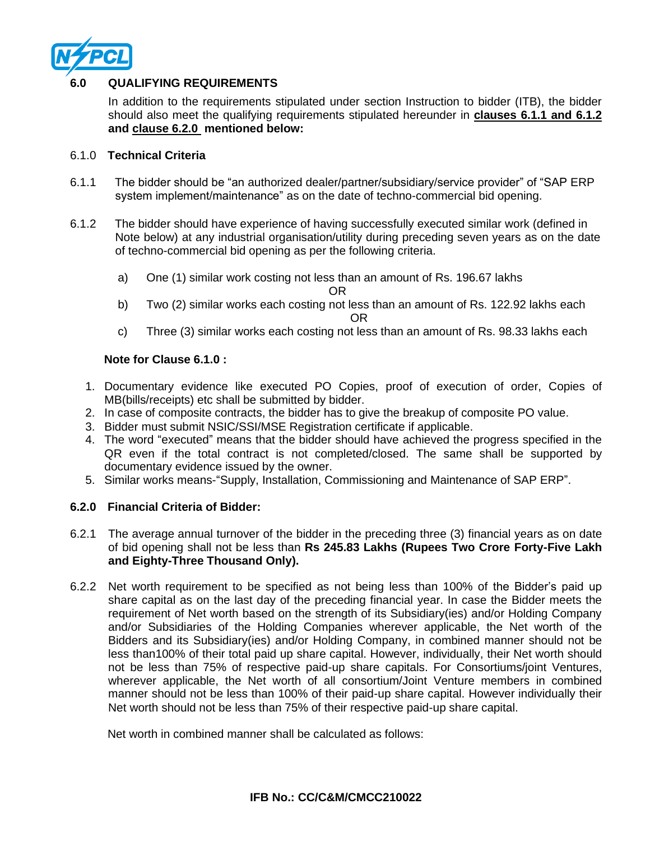

# **6.0 QUALIFYING REQUIREMENTS**

In addition to the requirements stipulated under section Instruction to bidder (ITB), the bidder should also meet the qualifying requirements stipulated hereunder in **clauses 6.1.1 and 6.1.2 and clause 6.2.0 mentioned below:**

## 6.1.0 **Technical Criteria**

- 6.1.1 The bidder should be "an authorized dealer/partner/subsidiary/service provider" of "SAP ERP system implement/maintenance" as on the date of techno-commercial bid opening.
- 6.1.2 The bidder should have experience of having successfully executed similar work (defined in Note below) at any industrial organisation/utility during preceding seven years as on the date of techno-commercial bid opening as per the following criteria.
	- a) One (1) similar work costing not less than an amount of Rs. 196.67 lakhs

OR

- b) Two (2) similar works each costing not less than an amount of Rs. 122.92 lakhs each OR
- c) Three (3) similar works each costing not less than an amount of Rs. 98.33 lakhs each

# **Note for Clause 6.1.0 :**

- 1. Documentary evidence like executed PO Copies, proof of execution of order, Copies of MB(bills/receipts) etc shall be submitted by bidder.
- 2. In case of composite contracts, the bidder has to give the breakup of composite PO value.
- 3. Bidder must submit NSIC/SSI/MSE Registration certificate if applicable.
- 4. The word "executed" means that the bidder should have achieved the progress specified in the QR even if the total contract is not completed/closed. The same shall be supported by documentary evidence issued by the owner.
- 5. Similar works means-"Supply, Installation, Commissioning and Maintenance of SAP ERP".

# **6.2.0 Financial Criteria of Bidder:**

- 6.2.1 The average annual turnover of the bidder in the preceding three (3) financial years as on date of bid opening shall not be less than **Rs 245.83 Lakhs (Rupees Two Crore Forty-Five Lakh and Eighty-Three Thousand Only).**
- 6.2.2 Net worth requirement to be specified as not being less than 100% of the Bidder's paid up share capital as on the last day of the preceding financial year. In case the Bidder meets the requirement of Net worth based on the strength of its Subsidiary(ies) and/or Holding Company and/or Subsidiaries of the Holding Companies wherever applicable, the Net worth of the Bidders and its Subsidiary(ies) and/or Holding Company, in combined manner should not be less than100% of their total paid up share capital. However, individually, their Net worth should not be less than 75% of respective paid-up share capitals. For Consortiums/joint Ventures, wherever applicable, the Net worth of all consortium/Joint Venture members in combined manner should not be less than 100% of their paid-up share capital. However individually their Net worth should not be less than 75% of their respective paid-up share capital.

Net worth in combined manner shall be calculated as follows: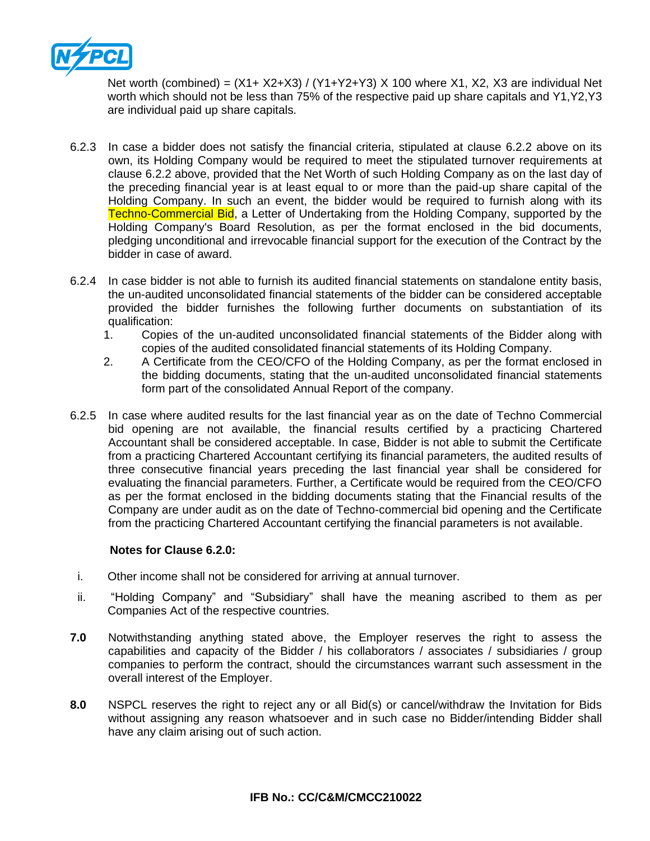

Net worth (combined) =  $(X1+ X2+X3) / (Y1+Y2+Y3) X 100$  where X1, X2, X3 are individual Net worth which should not be less than 75% of the respective paid up share capitals and Y1,Y2,Y3 are individual paid up share capitals.

- 6.2.3 In case a bidder does not satisfy the financial criteria, stipulated at clause 6.2.2 above on its own, its Holding Company would be required to meet the stipulated turnover requirements at clause 6.2.2 above, provided that the Net Worth of such Holding Company as on the last day of the preceding financial year is at least equal to or more than the paid-up share capital of the Holding Company. In such an event, the bidder would be required to furnish along with its Techno-Commercial Bid, a Letter of Undertaking from the Holding Company, supported by the Holding Company's Board Resolution, as per the format enclosed in the bid documents, pledging unconditional and irrevocable financial support for the execution of the Contract by the bidder in case of award.
- 6.2.4 In case bidder is not able to furnish its audited financial statements on standalone entity basis, the un-audited unconsolidated financial statements of the bidder can be considered acceptable provided the bidder furnishes the following further documents on substantiation of its qualification:
	- 1. Copies of the un-audited unconsolidated financial statements of the Bidder along with copies of the audited consolidated financial statements of its Holding Company.
	- 2. A Certificate from the CEO/CFO of the Holding Company, as per the format enclosed in the bidding documents, stating that the un-audited unconsolidated financial statements form part of the consolidated Annual Report of the company.
- 6.2.5 In case where audited results for the last financial year as on the date of Techno Commercial bid opening are not available, the financial results certified by a practicing Chartered Accountant shall be considered acceptable. In case, Bidder is not able to submit the Certificate from a practicing Chartered Accountant certifying its financial parameters, the audited results of three consecutive financial years preceding the last financial year shall be considered for evaluating the financial parameters. Further, a Certificate would be required from the CEO/CFO as per the format enclosed in the bidding documents stating that the Financial results of the Company are under audit as on the date of Techno-commercial bid opening and the Certificate from the practicing Chartered Accountant certifying the financial parameters is not available.

#### **Notes for Clause 6.2.0:**

- i. Other income shall not be considered for arriving at annual turnover.
- ii. "Holding Company" and "Subsidiary" shall have the meaning ascribed to them as per Companies Act of the respective countries.
- **7.0** Notwithstanding anything stated above, the Employer reserves the right to assess the capabilities and capacity of the Bidder / his collaborators / associates / subsidiaries / group companies to perform the contract, should the circumstances warrant such assessment in the overall interest of the Employer.
- **8.0** NSPCL reserves the right to reject any or all Bid(s) or cancel/withdraw the Invitation for Bids without assigning any reason whatsoever and in such case no Bidder/intending Bidder shall have any claim arising out of such action.